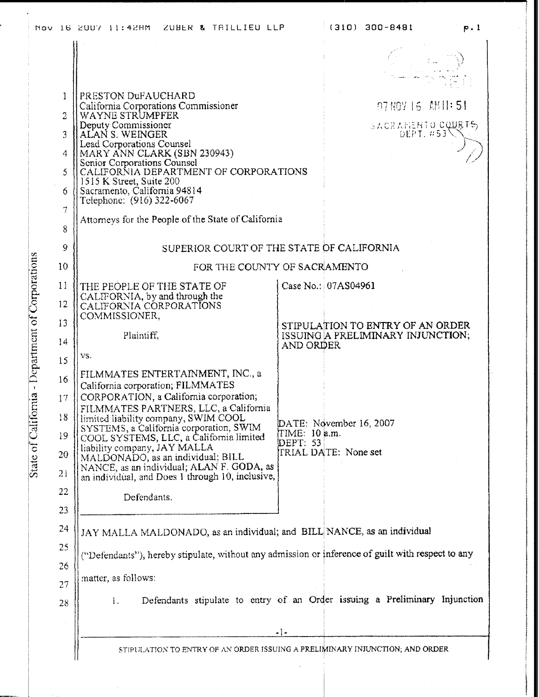|                                                | Nov 16 2007 11:42HM ZUBER & TAILLIEU LLP                                                                                                                                                                                                                                                                                                                                                                                                                                                                  | (310) 300-8481<br>p.1                                                 |
|------------------------------------------------|-----------------------------------------------------------------------------------------------------------------------------------------------------------------------------------------------------------------------------------------------------------------------------------------------------------------------------------------------------------------------------------------------------------------------------------------------------------------------------------------------------------|-----------------------------------------------------------------------|
| -1<br>$\overline{2}$<br>3<br>4<br>5<br>6.<br>7 | PRESTON DUFAUCHARD<br>California Corporations Commissioner<br>WAYNE STRUMPFER<br>Deputy Commissioner<br>ALAN S. WEINGER<br>Lead Corporations Counsel<br>MARY ANN CLARK (SBN 230943)<br>Senior Corporations Counsel<br>CALIFORNIA DEPARTMENT OF CORPORATIONS<br>1515 K Street, Suite 200<br>Sacramento, California 94814<br>Telephone: (916) 322-6067<br>Attorneys for the People of the State of California                                                                                               | 07NOY 16 AM 1:51<br>SACRAHEMIO COURTS                                 |
| 8                                              |                                                                                                                                                                                                                                                                                                                                                                                                                                                                                                           |                                                                       |
| 9                                              | SUPERIOR COURT OF THE STATE OF CALIFORNIA                                                                                                                                                                                                                                                                                                                                                                                                                                                                 |                                                                       |
| 10                                             | FOR THE COUNTY OF SACRAMENTO                                                                                                                                                                                                                                                                                                                                                                                                                                                                              |                                                                       |
| 11<br>12                                       | THE PEOPLE OF THE STATE OF<br>CALIFORNIA, by and through the<br>CALIFORNIA CORPORATIONS<br>COMMISSIONER,                                                                                                                                                                                                                                                                                                                                                                                                  | Case No.: 07AS04961                                                   |
| 13<br>14                                       | Plaintiff,<br>AND ORDER                                                                                                                                                                                                                                                                                                                                                                                                                                                                                   | STIPULATION TO ENTRY OF AN ORDER<br>ISSUING A PRELIMINARY INJUNCTION; |
| 15                                             | VS.                                                                                                                                                                                                                                                                                                                                                                                                                                                                                                       |                                                                       |
| 16<br>17<br>18<br>19<br>20<br>21<br>22         | FILMMATES ENTERTAINMENT, INC., a<br>California corporation; FILMMATES<br>CORPORATION, a California corporation;<br>FILMMATES PARTNERS, LLC, a California<br>[limited liability company, SWIM COOL<br>SYSTEMS, a California corporation, SWIM<br>TIME: 10 a.m.<br>COOL SYSTEMS, LLC, a California limited<br>DEPT: 53<br>liability company, JAY MALLA<br>MALDONADO, as an individual; BILL<br>NANCE, as an individual; ALAN F. GODA, as<br>an individual, and Does 1 through 10, inclusive,<br>Defendants. | DATE: November 16, 2007<br>TRIAL DATE: None set                       |
| 23                                             |                                                                                                                                                                                                                                                                                                                                                                                                                                                                                                           |                                                                       |
| 24                                             | JAY MALLA MALDONADO, as an individual; and BILL NANCE, as an individual                                                                                                                                                                                                                                                                                                                                                                                                                                   |                                                                       |
| 25                                             | ("Defendants"), hereby stipulate, without any admission or inference of guilt with respect to any                                                                                                                                                                                                                                                                                                                                                                                                         |                                                                       |
| 26                                             | matter, as follows:                                                                                                                                                                                                                                                                                                                                                                                                                                                                                       |                                                                       |
| 27<br>28                                       | Defendants stipulate to entry of an Order issuing a Preliminary Injunction<br>1.                                                                                                                                                                                                                                                                                                                                                                                                                          |                                                                       |
|                                                | $-1-$                                                                                                                                                                                                                                                                                                                                                                                                                                                                                                     |                                                                       |
|                                                | STIPULATION TO ENTRY OF AN ORDER ISSUING A PRELIMINARY INJUNCTION; AND ORDER                                                                                                                                                                                                                                                                                                                                                                                                                              |                                                                       |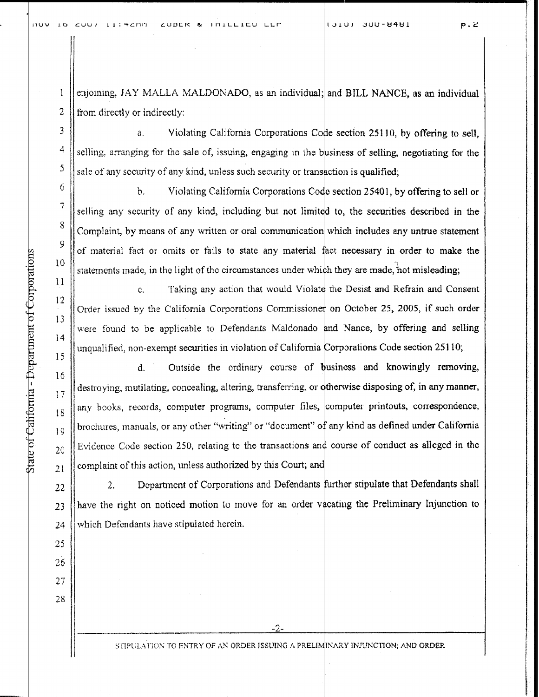nov 10 CUU/ 11: 460 ZUBER & IMILLIEU LLP 131UJ JUU-8481 p. 2

enjoining, JAY MALLA MALDONADO, as an individual; and BILL NANCE, as an individual 2  $\parallel$  from directly or indirectly:

Violating California Corporations Code section 251 10, by offering to sell, a.  $\frac{4}{1}$  selling, arranging for the sale of, issuing, engaging in the business of selling, negotiating for the sale of any security of any kind, unless such security or transaction is qualified;

b . Violating California Corporations Code section 25401, by offering to sell or selling any security of any kind, including but not limited to, the securities described in the Complaint, by means of any written or oral communication which includes any untrue statement of material fact or omits or fails to state any material fact necessary in order to make the statements made, in the light of the circumstances under which they are made, not misleading;

Taking any action that would Violate the Desist and Refrain and Consent  $\mathbf{C}$ Order issued by the California Corporations Commissioner on October 25, 2005, if such order were found to be applicable to Defendants Maldonado and Nance, by offering and selling ||unqualified, non-exempt securities in violation of California Corporations Code section 25110;

16 d. Outside the ordinary course of business and knowingly removing,  $\frac{17}{17}$  destroying, mutilating, concealing, altering, transferring, or otherwise disposing of, in any manner,  $_{18}$  any books, records, computer programs, computer files, computer printouts, correspondence, 19 || brochures, manuals, or any other "writing" or "document" of any kind as defined under California  $_{20}$  | Evidence Code section 250, relating to the transactions and course of conduct as alleged in the Statements made, in the light of the circumstances under which<br>
10<br>
California Corporations Commissione<br>
13<br>
Corder issued by the California Corporations Commissione<br>
15<br>
were found to be applicable to Defendants Maldonado

 $22$  2. Department of Corporations and Defendants further stipulate that Defendants shall 23 have the right on noticed motion to move for an order vacating the Preliminary Injunction to 24  $\parallel$  which Defendants have stipulated herein.

STIPULATION TO ENTRY OF AN ORDER ISSUING A PRELIMINARY INJUNCTION; AND ORDER

9

 $\mathbf{1}$ 

3

5

6

 $\overline{7}$ 

8

10

12

11

13

14

25

26

27

28